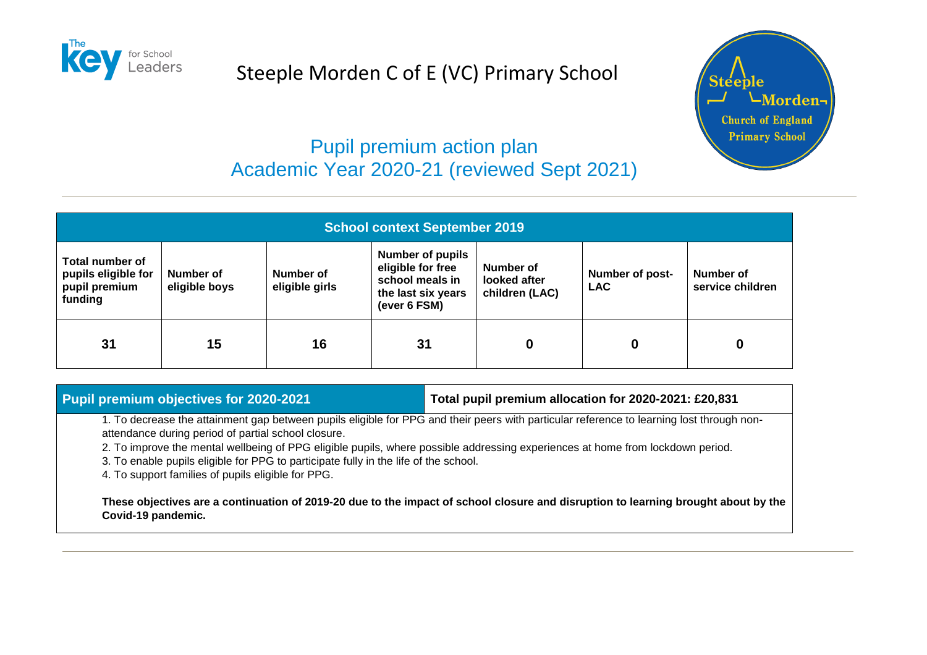

# Steeple Morden C of E (VC) Primary School



## Pupil premium action plan Academic Year 2020-21 (reviewed Sept 2021)

| <b>School context September 2019</b>                                      |                            |                             |                                                                                                       |                                             |                                      |                               |
|---------------------------------------------------------------------------|----------------------------|-----------------------------|-------------------------------------------------------------------------------------------------------|---------------------------------------------|--------------------------------------|-------------------------------|
| <b>Total number of</b><br>pupils eligible for<br>pupil premium<br>funding | Number of<br>eligible boys | Number of<br>eligible girls | <b>Number of pupils</b><br>eligible for free<br>school meals in<br>the last six years<br>(ever 6 FSM) | Number of<br>looked after<br>children (LAC) | <b>Number of post-</b><br><b>LAC</b> | Number of<br>service children |
| 31                                                                        | 15                         | 16                          | 31                                                                                                    | 0                                           | 0                                    | 0                             |

#### **Pupil premium objectives for 2020-2021 Total pupil premium allocation for 2020-2021: £20,831**

1. To decrease the attainment gap between pupils eligible for PPG and their peers with particular reference to learning lost through nonattendance during period of partial school closure.

2. To improve the mental wellbeing of PPG eligible pupils, where possible addressing experiences at home from lockdown period.

3. To enable pupils eligible for PPG to participate fully in the life of the school.

4. To support families of pupils eligible for PPG.

**These objectives are a continuation of 2019-20 due to the impact of school closure and disruption to learning brought about by the Covid-19 pandemic.**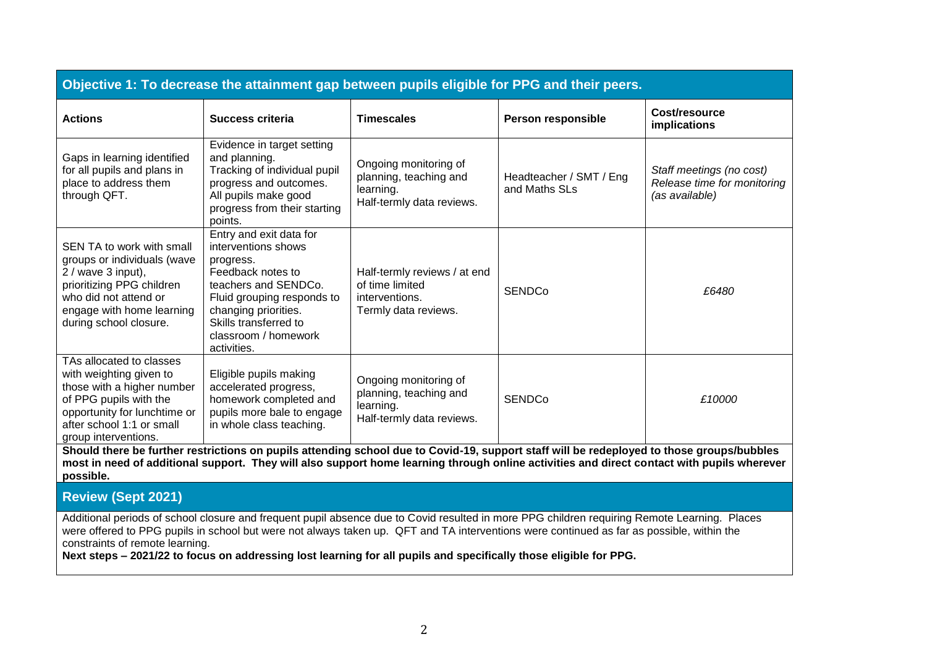| Objective 1: To decrease the attainment gap between pupils eligible for PPG and their peers.                                                                                                     |                                                                                                                                                                                                                                |                                                                                           |                                          |                                                                           |  |
|--------------------------------------------------------------------------------------------------------------------------------------------------------------------------------------------------|--------------------------------------------------------------------------------------------------------------------------------------------------------------------------------------------------------------------------------|-------------------------------------------------------------------------------------------|------------------------------------------|---------------------------------------------------------------------------|--|
| <b>Actions</b>                                                                                                                                                                                   | Success criteria                                                                                                                                                                                                               | <b>Timescales</b>                                                                         | Person responsible                       | Cost/resource<br>implications                                             |  |
| Gaps in learning identified<br>for all pupils and plans in<br>place to address them<br>through QFT.                                                                                              | Evidence in target setting<br>and planning.<br>Tracking of individual pupil<br>progress and outcomes.<br>All pupils make good<br>progress from their starting<br>points.                                                       | Ongoing monitoring of<br>planning, teaching and<br>learning.<br>Half-termly data reviews. | Headteacher / SMT / Eng<br>and Maths SLs | Staff meetings (no cost)<br>Release time for monitoring<br>(as available) |  |
| SEN TA to work with small<br>groups or individuals (wave<br>$2 /$ wave 3 input),<br>prioritizing PPG children<br>who did not attend or<br>engage with home learning<br>during school closure.    | Entry and exit data for<br>interventions shows<br>progress.<br>Feedback notes to<br>teachers and SENDCo.<br>Fluid grouping responds to<br>changing priorities.<br>Skills transferred to<br>classroom / homework<br>activities. | Half-termly reviews / at end<br>of time limited<br>interventions.<br>Termly data reviews. | <b>SENDCo</b>                            | £6480                                                                     |  |
| TAs allocated to classes<br>with weighting given to<br>those with a higher number<br>of PPG pupils with the<br>opportunity for lunchtime or<br>after school 1:1 or small<br>group interventions. | Eligible pupils making<br>accelerated progress,<br>homework completed and<br>pupils more bale to engage<br>in whole class teaching.                                                                                            | Ongoing monitoring of<br>planning, teaching and<br>learning.<br>Half-termly data reviews. | <b>SENDCo</b>                            | £10000                                                                    |  |

**Should there be further restrictions on pupils attending school due to Covid-19, support staff will be redeployed to those groups/bubbles most in need of additional support. They will also support home learning through online activities and direct contact with pupils wherever possible.**

**Review (Sept 2021)**

Additional periods of school closure and frequent pupil absence due to Covid resulted in more PPG children requiring Remote Learning. Places were offered to PPG pupils in school but were not always taken up. QFT and TA interventions were continued as far as possible, within the constraints of remote learning.

**Next steps – 2021/22 to focus on addressing lost learning for all pupils and specifically those eligible for PPG.**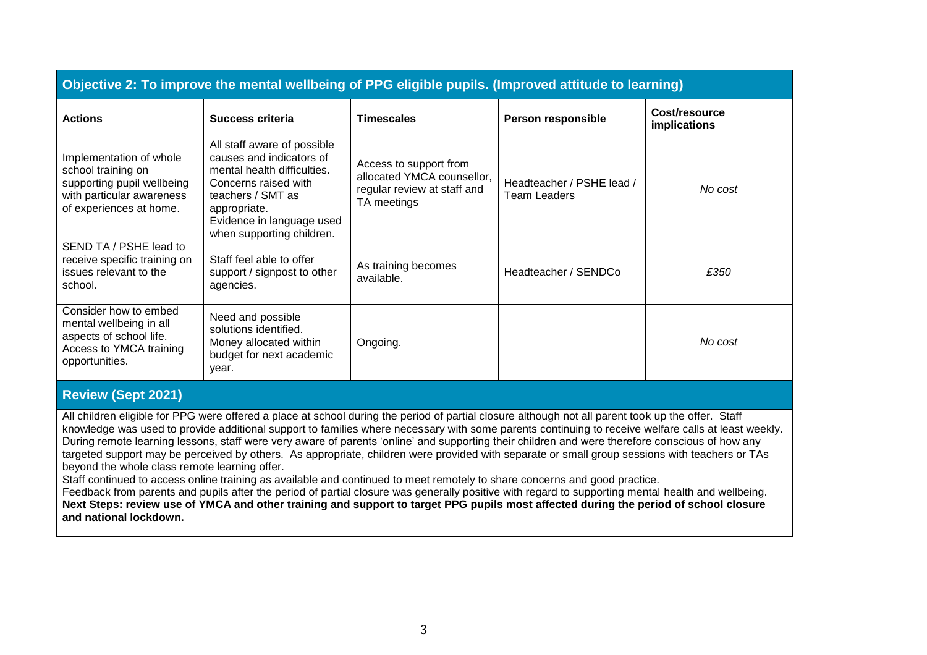| Objective 2: To improve the mental wellbeing of PPG eligible pupils. (Improved attitude to learning)                                |                                                                                                                                                                                                               |                                                                                                    |                                                  |                                      |
|-------------------------------------------------------------------------------------------------------------------------------------|---------------------------------------------------------------------------------------------------------------------------------------------------------------------------------------------------------------|----------------------------------------------------------------------------------------------------|--------------------------------------------------|--------------------------------------|
| <b>Actions</b>                                                                                                                      | <b>Success criteria</b>                                                                                                                                                                                       | <b>Timescales</b>                                                                                  | Person responsible                               | Cost/resource<br><b>implications</b> |
| Implementation of whole<br>school training on<br>supporting pupil wellbeing<br>with particular awareness<br>of experiences at home. | All staff aware of possible<br>causes and indicators of<br>mental health difficulties.<br>Concerns raised with<br>teachers / SMT as<br>appropriate.<br>Evidence in language used<br>when supporting children. | Access to support from<br>allocated YMCA counsellor,<br>regular review at staff and<br>TA meetings | Headteacher / PSHE lead /<br><b>Team Leaders</b> | No cost                              |
| SEND TA / PSHE lead to<br>receive specific training on<br>issues relevant to the<br>school.                                         | Staff feel able to offer<br>support / signpost to other<br>agencies.                                                                                                                                          | As training becomes<br>available.                                                                  | Headteacher / SENDCo                             | £350                                 |
| Consider how to embed<br>mental wellbeing in all<br>aspects of school life.<br>Access to YMCA training<br>opportunities.            | Need and possible<br>solutions identified.<br>Money allocated within<br>budget for next academic<br>year.                                                                                                     | Ongoing.                                                                                           |                                                  | No cost                              |

### **Review (Sept 2021)**

All children eligible for PPG were offered a place at school during the period of partial closure although not all parent took up the offer. Staff knowledge was used to provide additional support to families where necessary with some parents continuing to receive welfare calls at least weekly. During remote learning lessons, staff were very aware of parents 'online' and supporting their children and were therefore conscious of how any targeted support may be perceived by others. As appropriate, children were provided with separate or small group sessions with teachers or TAs beyond the whole class remote learning offer.

Staff continued to access online training as available and continued to meet remotely to share concerns and good practice.

Feedback from parents and pupils after the period of partial closure was generally positive with regard to supporting mental health and wellbeing. **Next Steps: review use of YMCA and other training and support to target PPG pupils most affected during the period of school closure and national lockdown.**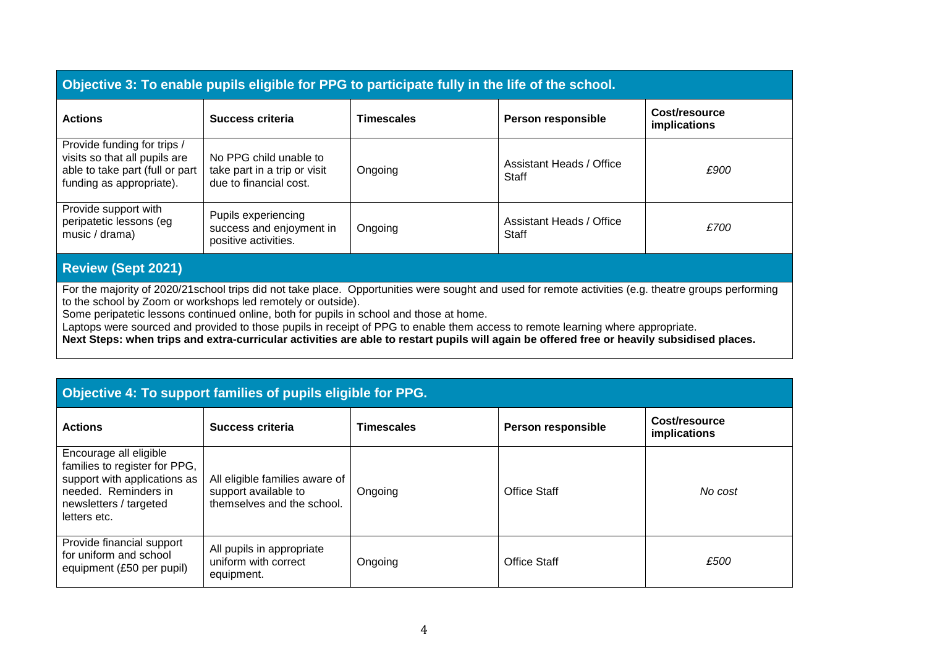| Objective 3: To enable pupils eligible for PPG to participate fully in the life of the school.                              |                                                                                  |                   |                                   |                               |  |
|-----------------------------------------------------------------------------------------------------------------------------|----------------------------------------------------------------------------------|-------------------|-----------------------------------|-------------------------------|--|
| <b>Actions</b>                                                                                                              | Success criteria                                                                 | <b>Timescales</b> | Person responsible                | Cost/resource<br>implications |  |
| Provide funding for trips /<br>visits so that all pupils are<br>able to take part (full or part<br>funding as appropriate). | No PPG child unable to<br>take part in a trip or visit<br>due to financial cost. | Ongoing           | Assistant Heads / Office<br>Staff | £900                          |  |
| Provide support with<br>peripatetic lessons (eg<br>music / drama)                                                           | Pupils experiencing<br>success and enjoyment in<br>positive activities.          | Ongoing           | Assistant Heads / Office<br>Staff | £700                          |  |

## **Review (Sept 2021)**

For the majority of 2020/21school trips did not take place. Opportunities were sought and used for remote activities (e.g. theatre groups performing to the school by Zoom or workshops led remotely or outside).

Some peripatetic lessons continued online, both for pupils in school and those at home.

Laptops were sourced and provided to those pupils in receipt of PPG to enable them access to remote learning where appropriate.

**Next Steps: when trips and extra-curricular activities are able to restart pupils will again be offered free or heavily subsidised places.**

| Objective 4: To support families of pupils eligible for PPG.                                                                                              |                                                                                      |            |                           |                               |  |
|-----------------------------------------------------------------------------------------------------------------------------------------------------------|--------------------------------------------------------------------------------------|------------|---------------------------|-------------------------------|--|
| <b>Actions</b>                                                                                                                                            | Success criteria                                                                     | Timescales | <b>Person responsible</b> | Cost/resource<br>implications |  |
| Encourage all eligible<br>families to register for PPG,<br>support with applications as<br>needed. Reminders in<br>newsletters / targeted<br>letters etc. | All eligible families aware of<br>support available to<br>themselves and the school. | Ongoing    | <b>Office Staff</b>       | No cost                       |  |
| Provide financial support<br>for uniform and school<br>equipment (£50 per pupil)                                                                          | All pupils in appropriate<br>uniform with correct<br>equipment.                      | Ongoing    | Office Staff              | £500                          |  |